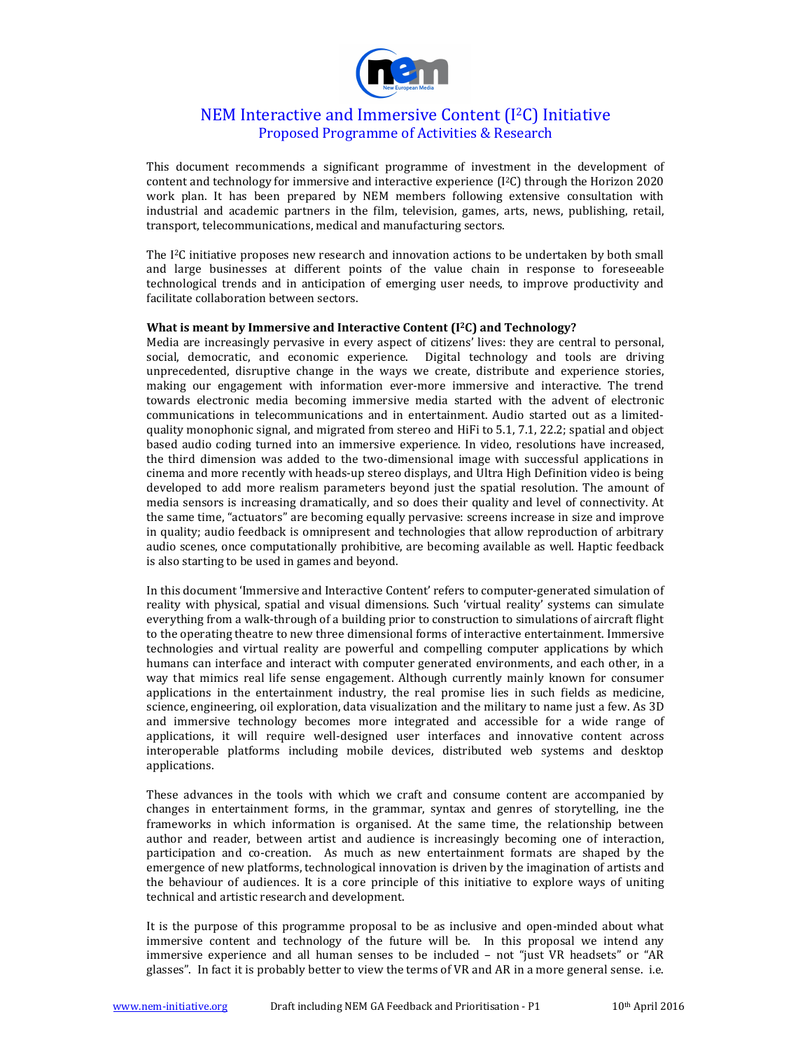

# NEM Interactive and Immersive Content  $(I<sup>2</sup>C)$  Initiative Proposed Programme of Activities & Research

This document recommends a significant programme of investment in the development of content and technology for immersive and interactive experience (I<sup>2</sup>C) through the Horizon 2020 work plan. It has been prepared by NEM members following extensive consultation with industrial and academic partners in the film, television, games, arts, news, publishing, retail, transport, telecommunications, medical and manufacturing sectors.

The  $I<sup>2</sup>C$  initiative proposes new research and innovation actions to be undertaken by both small and large businesses at different points of the value chain in response to foreseeable technological trends and in anticipation of emerging user needs, to improve productivity and facilitate collaboration between sectors.

### **What is meant by Immersive and Interactive Content (I<sup>2</sup>C) and Technology?**

Media are increasingly pervasive in every aspect of citizens' lives: they are central to personal, social, democratic, and economic experience. Digital technology and tools are driving unprecedented, disruptive change in the ways we create, distribute and experience stories, making our engagement with information ever-more immersive and interactive. The trend towards electronic media becoming immersive media started with the advent of electronic communications in telecommunications and in entertainment. Audio started out as a limitedquality monophonic signal, and migrated from stereo and HiFi to 5.1, 7.1, 22.2; spatial and object based audio coding turned into an immersive experience. In video, resolutions have increased, the third dimension was added to the two-dimensional image with successful applications in cinema and more recently with heads-up stereo displays, and Ultra High Definition video is being developed to add more realism parameters beyond just the spatial resolution. The amount of media sensors is increasing dramatically, and so does their quality and level of connectivity. At the same time, "actuators" are becoming equally pervasive: screens increase in size and improve in quality; audio feedback is omnipresent and technologies that allow reproduction of arbitrary audio scenes, once computationally prohibitive, are becoming available as well. Haptic feedback is also starting to be used in games and beyond.

In this document 'Immersive and Interactive Content' refers to computer-generated simulation of reality with physical, spatial and visual dimensions. Such 'virtual reality' systems can simulate everything from a walk-through of a building prior to construction to simulations of aircraft flight to the operating theatre to new three dimensional forms of interactive entertainment. Immersive technologies and virtual reality are powerful and compelling computer applications by which humans can interface and interact with computer generated environments, and each other, in a way that mimics real life sense engagement. Although currently mainly known for consumer applications in the entertainment industry, the real promise lies in such fields as medicine, science, engineering, oil exploration, data visualization and the military to name just a few. As 3D and immersive technology becomes more integrated and accessible for a wide range of applications, it will require well-designed user interfaces and innovative content across interoperable platforms including mobile devices, distributed web systems and desktop applications.

These advances in the tools with which we craft and consume content are accompanied by changes in entertainment forms, in the grammar, syntax and genres of storytelling, ine the frameworks in which information is organised. At the same time, the relationship between author and reader, between artist and audience is increasingly becoming one of interaction, participation and co-creation. As much as new entertainment formats are shaped by the emergence of new platforms, technological innovation is driven by the imagination of artists and the behaviour of audiences. It is a core principle of this initiative to explore ways of uniting technical and artistic research and development.

It is the purpose of this programme proposal to be as inclusive and open-minded about what immersive content and technology of the future will be. In this proposal we intend any immersive experience and all human senses to be included - not "just VR headsets" or "AR glasses". In fact it is probably better to view the terms of VR and AR in a more general sense. i.e.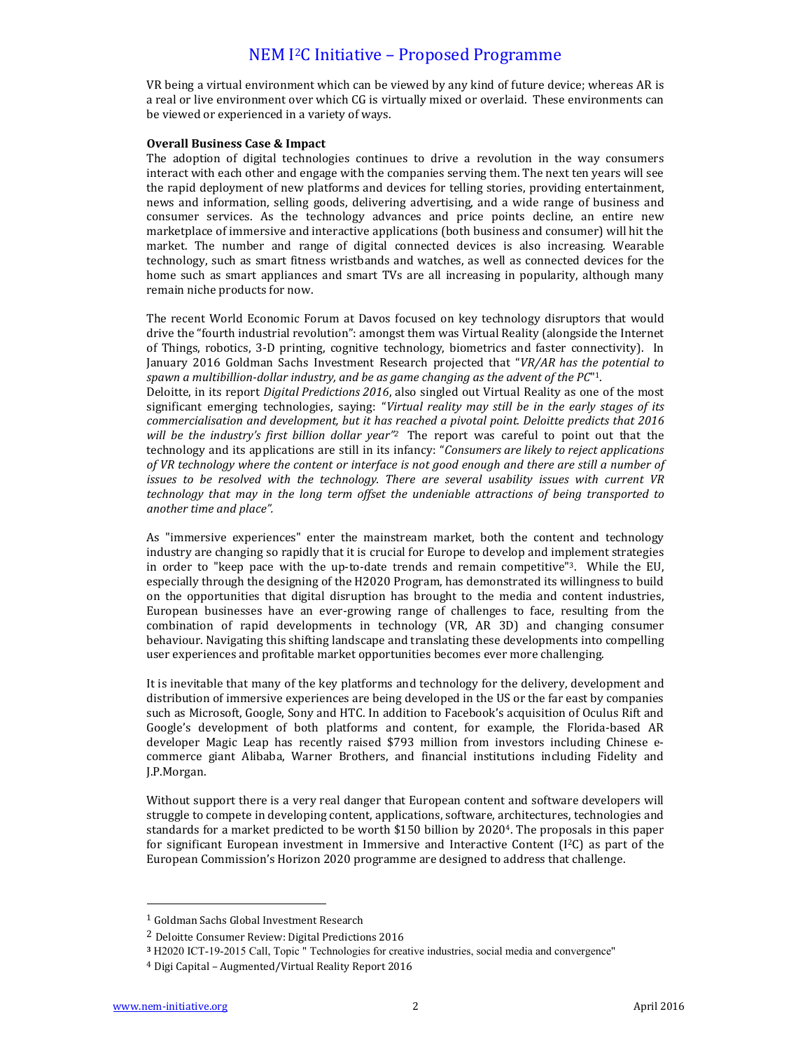VR being a virtual environment which can be viewed by any kind of future device; whereas AR is a real or live environment over which CG is virtually mixed or overlaid. These environments can be viewed or experienced in a variety of ways.

### **Overall Business Case & Impact**

The adoption of digital technologies continues to drive a revolution in the way consumers interact with each other and engage with the companies serving them. The next ten years will see the rapid deployment of new platforms and devices for telling stories, providing entertainment, news and information, selling goods, delivering advertising, and a wide range of business and consumer services. As the technology advances and price points decline, an entire new marketplace of immersive and interactive applications (both business and consumer) will hit the market. The number and range of digital connected devices is also increasing. Wearable technology, such as smart fitness wristbands and watches, as well as connected devices for the home such as smart appliances and smart TVs are all increasing in popularity, although many remain niche products for now.

The recent World Economic Forum at Davos focused on key technology disruptors that would drive the "fourth industrial revolution": amongst them was Virtual Reality (alongside the Internet of Things, robotics, 3-D printing, cognitive technology, biometrics and faster connectivity). In January 2016 Goldman Sachs Investment Research projected that "VR/AR has the potential to spawn a multibillion-dollar industry, and be as game changing as the advent of the PC"1. Deloitte, in its report *Digital Predictions 2016*, also singled out Virtual Reality as one of the most significant emerging technologies, saying: "Virtual reality may still be in the early stages of its commercialisation and development, but it has reached a pivotal point. Deloitte predicts that 2016 *will be the industry's first billion dollar year"<sup>2</sup> The report was careful to point out that the* technology and its applications are still in its infancy: "*Consumers are likely to reject applications* of VR technology where the content or interface is not good enough and there are still a number of *issues to be resolved with the technology. There are several usability issues with current VR technology that may in the long term offset the undeniable attractions of being transported to another time and place".* 

As "immersive experiences" enter the mainstream market, both the content and technology industry are changing so rapidly that it is crucial for Europe to develop and implement strategies in order to "keep pace with the up-to-date trends and remain competitive"3. While the EU, especially through the designing of the H2020 Program, has demonstrated its willingness to build on the opportunities that digital disruption has brought to the media and content industries, European businesses have an ever-growing range of challenges to face, resulting from the combination of rapid developments in technology (VR, AR 3D) and changing consumer behaviour. Navigating this shifting landscape and translating these developments into compelling user experiences and profitable market opportunities becomes ever more challenging.

It is inevitable that many of the key platforms and technology for the delivery, development and distribution of immersive experiences are being developed in the US or the far east by companies such as Microsoft, Google, Sony and HTC. In addition to Facebook's acquisition of Oculus Rift and Google's development of both platforms and content, for example, the Florida-based AR developer Magic Leap has recently raised \$793 million from investors including Chinese ecommerce giant Alibaba, Warner Brothers, and financial institutions including Fidelity and J.P.Morgan.

Without support there is a very real danger that European content and software developers will struggle to compete in developing content, applications, software, architectures, technologies and standards for a market predicted to be worth \$150 billion by 2020<sup>4</sup>. The proposals in this paper for significant European investment in Immersive and Interactive Content  $(1^2C)$  as part of the European Commission's Horizon 2020 programme are designed to address that challenge.

 

<sup>&</sup>lt;sup>1</sup> Goldman Sachs Global Investment Research

 $2$  Deloitte Consumer Review: Digital Predictions 2016

**<sup>3</sup>** H2020 ICT-19-2015 Call, Topic " Technologies for creative industries, social media and convergence"

<sup>&</sup>lt;sup>4</sup> Digi Capital - Augmented/Virtual Reality Report 2016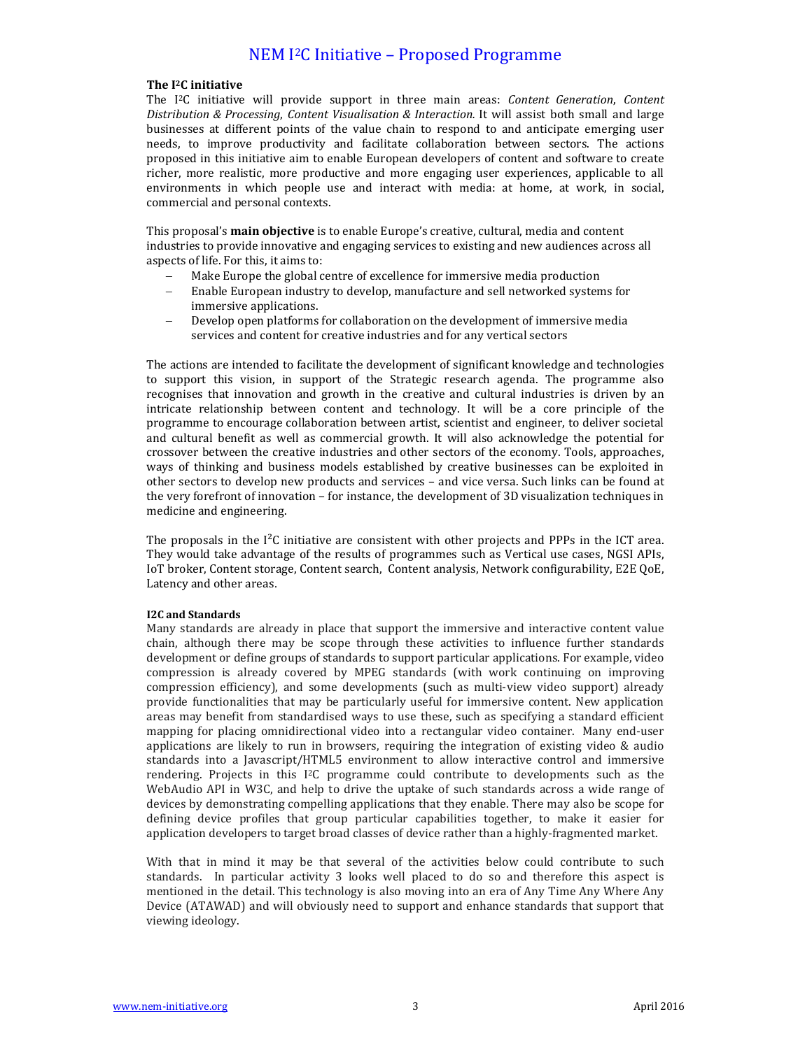### **The I2C initiative**

The I<sup>2</sup>C initiative will provide support in three main areas: *Content Generation*, *Content Distribution & Processing, Content Visualisation & Interaction.* It will assist both small and large businesses at different points of the value chain to respond to and anticipate emerging user needs, to improve productivity and facilitate collaboration between sectors. The actions proposed in this initiative aim to enable European developers of content and software to create richer, more realistic, more productive and more engaging user experiences, applicable to all environments in which people use and interact with media: at home, at work, in social, commercial and personal contexts.

This proposal's **main objective** is to enable Europe's creative, cultural, media and content industries to provide innovative and engaging services to existing and new audiences across all aspects of life. For this, it aims to:

- Make Europe the global centre of excellence for immersive media production
- Enable European industry to develop, manufacture and sell networked systems for immersive applications.
- Develop open platforms for collaboration on the development of immersive media services and content for creative industries and for any vertical sectors

The actions are intended to facilitate the development of significant knowledge and technologies to support this vision, in support of the Strategic research agenda. The programme also recognises that innovation and growth in the creative and cultural industries is driven by an intricate relationship between content and technology. It will be a core principle of the programme to encourage collaboration between artist, scientist and engineer, to deliver societal and cultural benefit as well as commercial growth. It will also acknowledge the potential for crossover between the creative industries and other sectors of the economy. Tools, approaches, ways of thinking and business models established by creative businesses can be exploited in other sectors to develop new products and services - and vice versa. Such links can be found at the very forefront of innovation – for instance, the development of 3D visualization techniques in medicine and engineering.

The proposals in the  $I<sup>2</sup>C$  initiative are consistent with other projects and PPPs in the ICT area. They would take advantage of the results of programmes such as Vertical use cases, NGSI APIs, IoT broker, Content storage, Content search, Content analysis, Network configurability, E2E QoE, Latency and other areas.

## **I2C and Standards**

Many standards are already in place that support the immersive and interactive content value chain, although there may be scope through these activities to influence further standards development or define groups of standards to support particular applications. For example, video compression is already covered by MPEG standards (with work continuing on improving compression efficiency), and some developments (such as multi-view video support) already provide functionalities that may be particularly useful for immersive content. New application areas may benefit from standardised ways to use these, such as specifying a standard efficient mapping for placing omnidirectional video into a rectangular video container. Many end-user applications are likely to run in browsers, requiring the integration of existing video  $\&$  audio standards into a Javascript/HTML5 environment to allow interactive control and immersive rendering. Projects in this  $I^2C$  programme could contribute to developments such as the WebAudio API in W3C, and help to drive the uptake of such standards across a wide range of devices by demonstrating compelling applications that they enable. There may also be scope for defining device profiles that group particular capabilities together, to make it easier for application developers to target broad classes of device rather than a highly-fragmented market.

With that in mind it may be that several of the activities below could contribute to such standards. In particular activity 3 looks well placed to do so and therefore this aspect is mentioned in the detail. This technology is also moving into an era of Any Time Any Where Any Device (ATAWAD) and will obviously need to support and enhance standards that support that viewing ideology.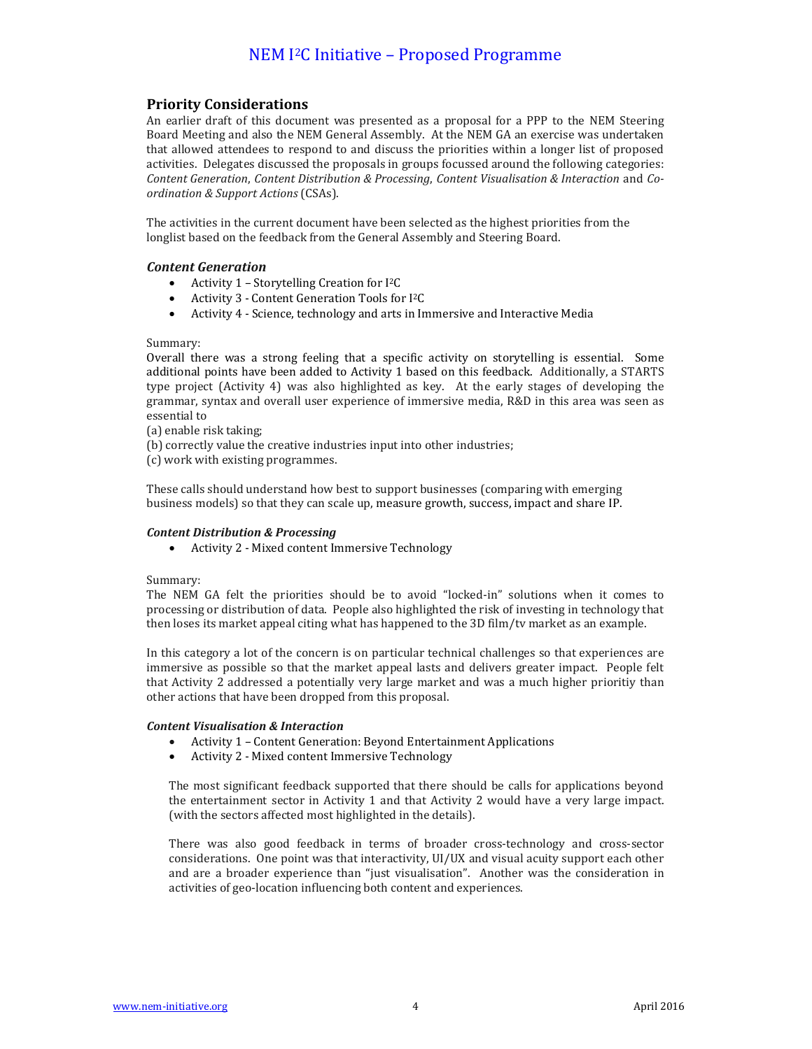# **Priority Considerations**

An earlier draft of this document was presented as a proposal for a PPP to the NEM Steering Board Meeting and also the NEM General Assembly. At the NEM GA an exercise was undertaken that allowed attendees to respond to and discuss the priorities within a longer list of proposed activities. Delegates discussed the proposals in groups focussed around the following categories: *Content Generation*, *Content Distribution & Processing*, *Content Visualisation & Interaction* and *Coordination & Support Actions* (CSAs).

The activities in the current document have been selected as the highest priorities from the longlist based on the feedback from the General Assembly and Steering Board.

## *Content Generation*

- Activity 1 Storytelling Creation for  $I^2C$
- Activity 3 Content Generation Tools for I<sup>2</sup>C
- Activity 4 Science, technology and arts in Immersive and Interactive Media

## Summary:

Overall there was a strong feeling that a specific activity on storytelling is essential. Some additional points have been added to Activity 1 based on this feedback. Additionally, a STARTS type project (Activity 4) was also highlighted as key. At the early stages of developing the grammar, syntax and overall user experience of immersive media, R&D in this area was seen as essential to

(a) enable risk taking;

(b) correctly value the creative industries input into other industries;

(c) work with existing programmes.

These calls should understand how best to support businesses (comparing with emerging business models) so that they can scale up, measure growth, success, impact and share IP.

## *Content Distribution & Processing*

• Activity 2 - Mixed content Immersive Technology

## Summary:

The NEM GA felt the priorities should be to avoid "locked-in" solutions when it comes to processing or distribution of data. People also highlighted the risk of investing in technology that then loses its market appeal citing what has happened to the 3D film/tv market as an example.

In this category a lot of the concern is on particular technical challenges so that experiences are immersive as possible so that the market appeal lasts and delivers greater impact. People felt that Activity 2 addressed a potentially very large market and was a much higher prioritiy than other actions that have been dropped from this proposal.

## *Content Visualisation & Interaction*

- Activity 1 Content Generation: Beyond Entertainment Applications
- Activity 2 Mixed content Immersive Technology

The most significant feedback supported that there should be calls for applications beyond the entertainment sector in Activity 1 and that Activity 2 would have a very large impact. (with the sectors affected most highlighted in the details).

There was also good feedback in terms of broader cross-technology and cross-sector considerations. One point was that interactivity, UI/UX and visual acuity support each other and are a broader experience than "just visualisation". Another was the consideration in activities of geo-location influencing both content and experiences.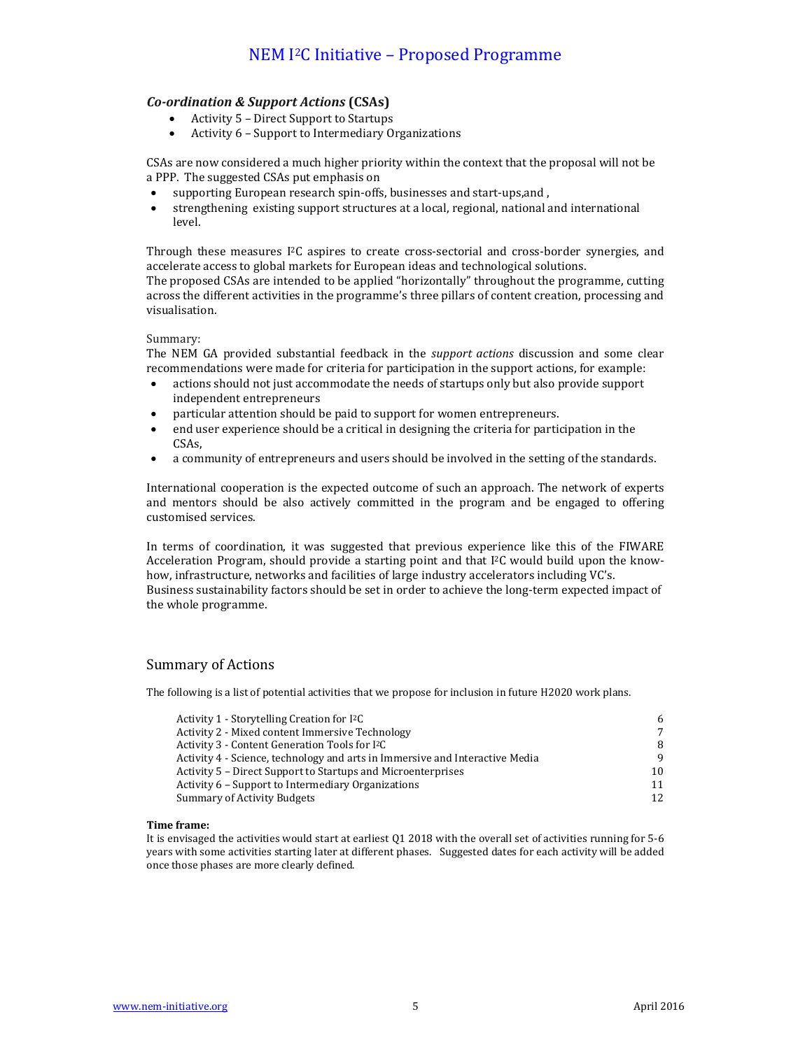# *Co-ordination & Support Actions* **(CSAs)**

- Activity  $5$  Direct Support to Startups
- Activity 6 Support to Intermediary Organizations

CSAs are now considered a much higher priority within the context that the proposal will not be a PPP. The suggested CSAs put emphasis on

- supporting European research spin-offs, businesses and start-ups, and ,
- strengthening existing support structures at a local, regional, national and international level.

Through these measures I<sup>2</sup>C aspires to create cross-sectorial and cross-border synergies, and accelerate access to global markets for European ideas and technological solutions.

The proposed CSAs are intended to be applied "horizontally" throughout the programme, cutting across the different activities in the programme's three pillars of content creation, processing and visualisation.

## Summary:

The NEM GA provided substantial feedback in the *support actions* discussion and some clear recommendations were made for criteria for participation in the support actions, for example:

- actions should not just accommodate the needs of startups only but also provide support independent entrepreneurs
- particular attention should be paid to support for women entrepreneurs.
- end user experience should be a critical in designing the criteria for participation in the CSAs,
- a community of entrepreneurs and users should be involved in the setting of the standards.

International cooperation is the expected outcome of such an approach. The network of experts and mentors should be also actively committed in the program and be engaged to offering customised services. 

In terms of coordination, it was suggested that previous experience like this of the FIWARE Acceleration Program, should provide a starting point and that  $I<sup>2</sup>C$  would build upon the knowhow, infrastructure, networks and facilities of large industry accelerators including VC's. Business sustainability factors should be set in order to achieve the long-term expected impact of the whole programme.

## Summary of Actions

The following is a list of potential activities that we propose for inclusion in future H2020 work plans.

| Activity 1 - Storytelling Creation for I <sup>2</sup> C                      | 6  |
|------------------------------------------------------------------------------|----|
| Activity 2 - Mixed content Immersive Technology                              | 7  |
| Activity 3 - Content Generation Tools for I <sup>2</sup> C                   | 8  |
| Activity 4 - Science, technology and arts in Immersive and Interactive Media | 9  |
| Activity 5 – Direct Support to Startups and Microenterprises                 | 10 |
| Activity 6 – Support to Intermediary Organizations                           | 11 |
| <b>Summary of Activity Budgets</b>                                           | 12 |

#### **Time frame:**

It is envisaged the activities would start at earliest Q1 2018 with the overall set of activities running for 5-6 years with some activities starting later at different phases. Suggested dates for each activity will be added once those phases are more clearly defined.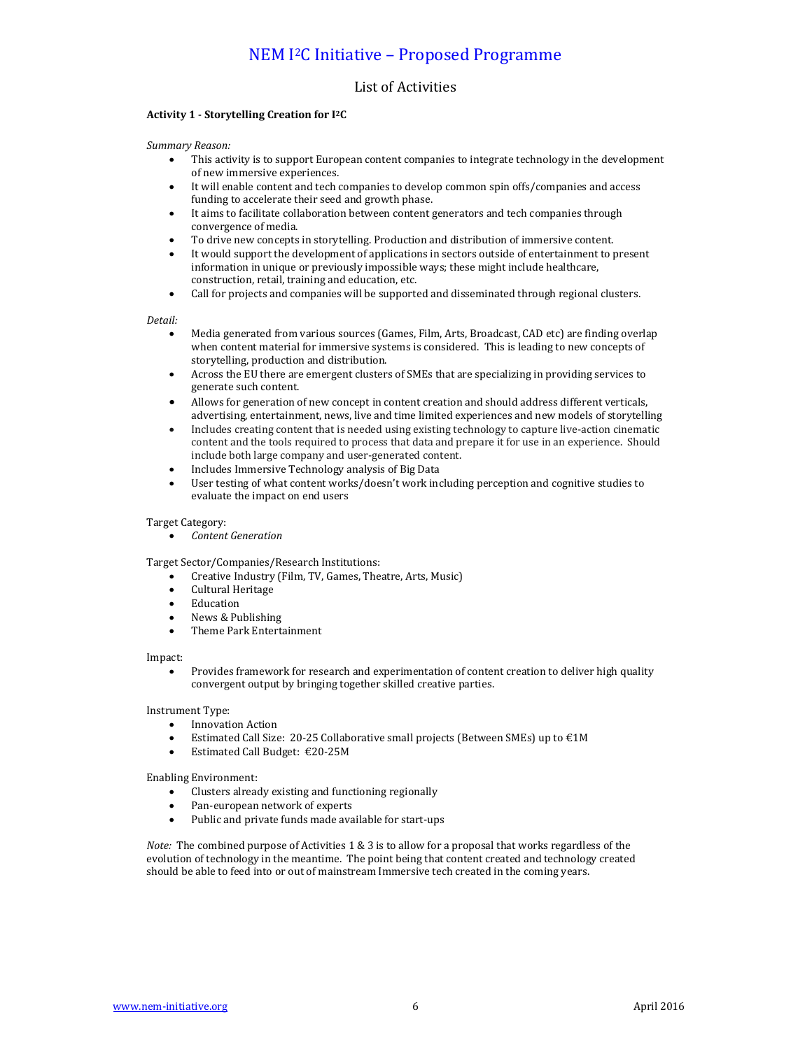## List of Activities

#### **Activity 1 - Storytelling Creation for I2C**

#### *Summary Reason:*

- This activity is to support European content companies to integrate technology in the development of new immersive experiences.
- It will enable content and tech companies to develop common spin offs/companies and access funding to accelerate their seed and growth phase.
- It aims to facilitate collaboration between content generators and tech companies through convergence of media.
- To drive new concepts in storytelling. Production and distribution of immersive content.
- It would support the development of applications in sectors outside of entertainment to present information in unique or previously impossible ways; these might include healthcare, construction, retail, training and education, etc.
- Call for projects and companies will be supported and disseminated through regional clusters.

#### *Detail:*

- Media generated from various sources (Games, Film, Arts, Broadcast, CAD etc) are finding overlap when content material for immersive systems is considered. This is leading to new concepts of storytelling, production and distribution.
- Across the EU there are emergent clusters of SMEs that are specializing in providing services to generate such content.
- Allows for generation of new concept in content creation and should address different verticals, advertising, entertainment, news, live and time limited experiences and new models of storytelling
- Includes creating content that is needed using existing technology to capture live-action cinematic content and the tools required to process that data and prepare it for use in an experience. Should include both large company and user-generated content.
- Includes Immersive Technology analysis of Big Data
- User testing of what content works/doesn't work including perception and cognitive studies to evaluate the impact on end users

#### Target Category:

*Content Generation*

Target Sector/Companies/Research Institutions:

- Creative Industry (Film, TV, Games, Theatre, Arts, Music)
- Cultural Heritage
- Education
- News & Publishing
- Theme Park Entertainment

Impact:

Provides framework for research and experimentation of content creation to deliver high quality convergent output by bringing together skilled creative parties.

Instrument Type:

- Innovation Action
- Estimated Call Size: 20-25 Collaborative small projects (Between SMEs) up to  $\epsilon$ 1M
- Estimated Call Budget: €20-25M

Enabling Environment:

- Clusters already existing and functioning regionally
- Pan-european network of experts
- Public and private funds made available for start-ups

*Note:* The combined purpose of Activities 1 & 3 is to allow for a proposal that works regardless of the evolution of technology in the meantime. The point being that content created and technology created should be able to feed into or out of mainstream Immersive tech created in the coming years.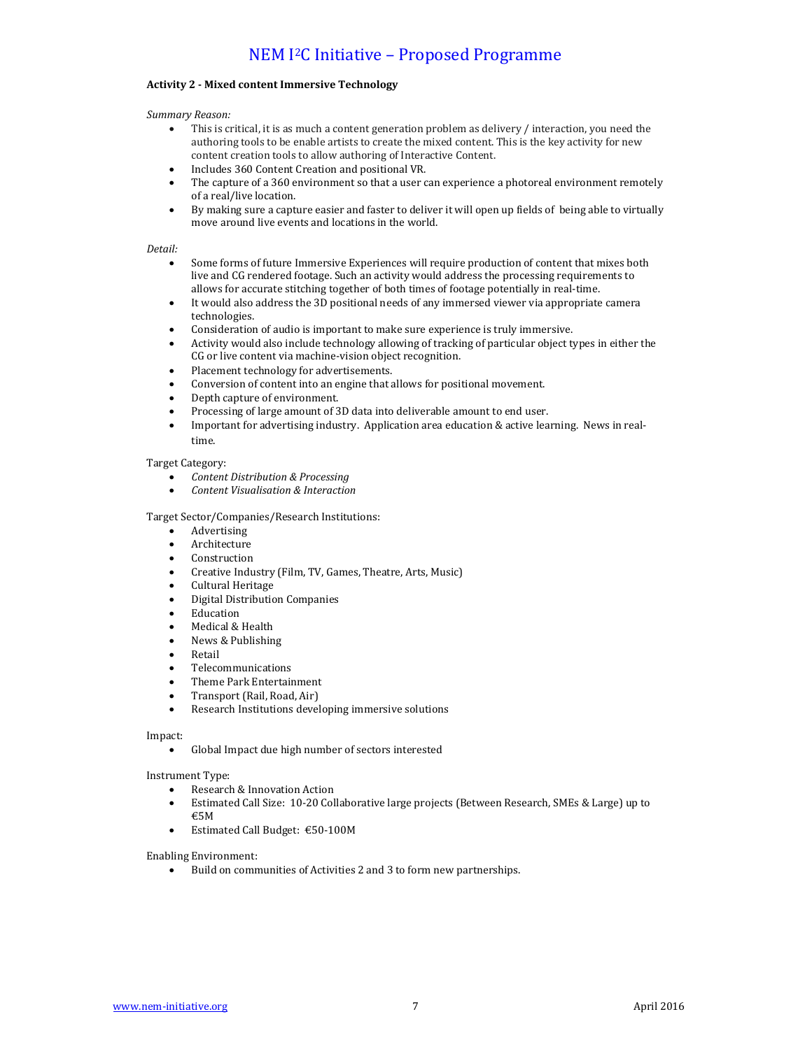### **Activity 2 - Mixed content Immersive Technology**

#### *Summary Reason:*

- This is critical, it is as much a content generation problem as delivery / interaction, you need the authoring tools to be enable artists to create the mixed content. This is the key activity for new content creation tools to allow authoring of Interactive Content.
- Includes 360 Content Creation and positional VR.
- The capture of a 360 environment so that a user can experience a photoreal environment remotely of a real/live location.
- By making sure a capture easier and faster to deliver it will open up fields of being able to virtually move around live events and locations in the world.

#### *Detail:*

- Some forms of future Immersive Experiences will require production of content that mixes both live and CG rendered footage. Such an activity would address the processing requirements to allows for accurate stitching together of both times of footage potentially in real-time.
- It would also address the 3D positional needs of any immersed viewer via appropriate camera technologies.
- Consideration of audio is important to make sure experience is truly immersive.
- Activity would also include technology allowing of tracking of particular object types in either the CG or live content via machine-vision object recognition.
- Placement technology for advertisements.
- Conversion of content into an engine that allows for positional movement.
- Depth capture of environment.
- Processing of large amount of 3D data into deliverable amount to end user.
- Important for advertising industry. Application area education & active learning. News in realtime.

#### Target Category:

- *Content Distribution & Processing*
- *Content Visualisation & Interaction*

#### Target Sector/Companies/Research Institutions:

- Advertising
- Architecture
- Construction
- Creative Industry (Film, TV, Games, Theatre, Arts, Music)
- Cultural Heritage
- Digital Distribution Companies
- Education
- Medical & Health
- News & Publishing
- Retail
- Telecommunications
- Theme Park Entertainment
- Transport (Rail, Road, Air)
- Research Institutions developing immersive solutions

#### Impact:

• Global Impact due high number of sectors interested

#### Instrument Type:

- Research & Innovation Action
- Estimated Call Size: 10-20 Collaborative large projects (Between Research, SMEs & Large) up to €5M
- $\bullet$  Estimated Call Budget: €50-100M

Enabling Environment:

Build on communities of Activities 2 and 3 to form new partnerships.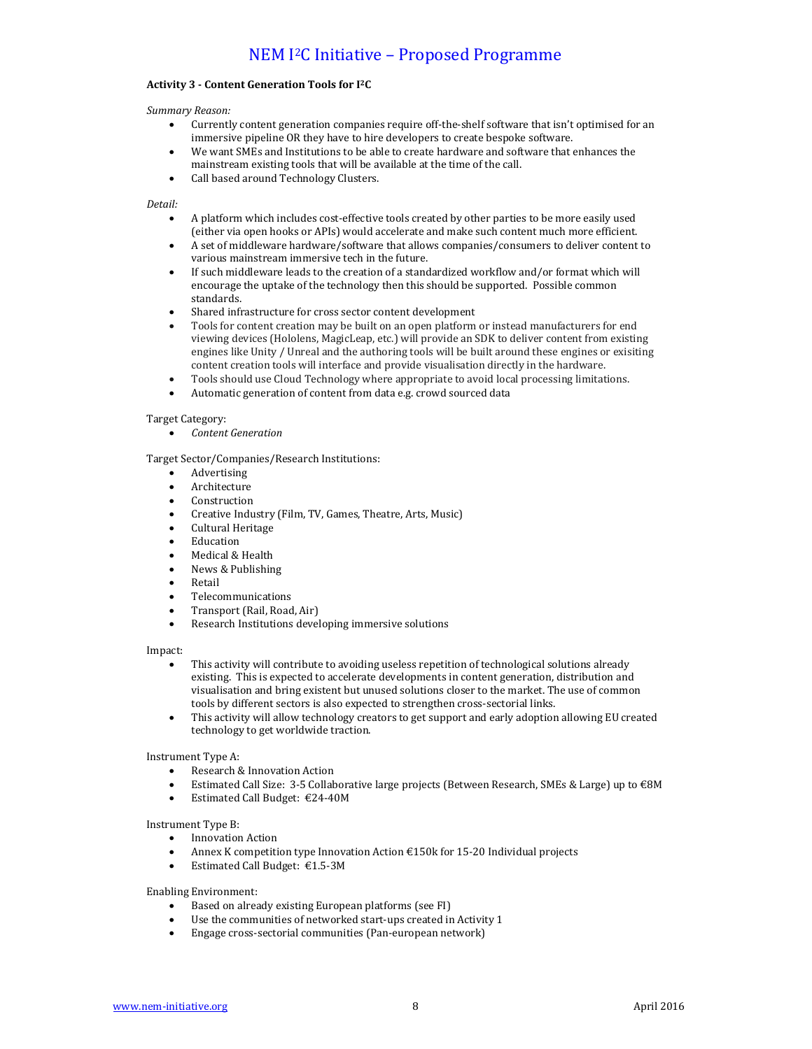### **Activity 3 - Content Generation Tools for I2C**

*Summary Reason:*

- Currently content generation companies require off-the-shelf software that isn't optimised for an immersive pipeline OR they have to hire developers to create bespoke software.
- We want SMEs and Institutions to be able to create hardware and software that enhances the mainstream existing tools that will be available at the time of the call.
- Call based around Technology Clusters.

*Detail:*

- A platform which includes cost-effective tools created by other parties to be more easily used (either via open hooks or APIs) would accelerate and make such content much more efficient.
- A set of middleware hardware/software that allows companies/consumers to deliver content to various mainstream immersive tech in the future.
- If such middleware leads to the creation of a standardized workflow and/or format which will encourage the uptake of the technology then this should be supported. Possible common standards.
- Shared infrastructure for cross sector content development
- Tools for content creation may be built on an open platform or instead manufacturers for end viewing devices (Hololens, MagicLeap, etc.) will provide an SDK to deliver content from existing engines like Unity / Unreal and the authoring tools will be built around these engines or exisiting content creation tools will interface and provide visualisation directly in the hardware.
- Tools should use Cloud Technology where appropriate to avoid local processing limitations.
- Automatic generation of content from data e.g. crowd sourced data

#### Target Category:

*Content Generation*

Target Sector/Companies/Research Institutions:

- Advertising
- Architecture
- Construction
- Creative Industry (Film, TV, Games, Theatre, Arts, Music)
- Cultural Heritage
- Education
- Medical & Health
- News & Publishing
- Retail
- Telecommunications
- Transport (Rail, Road, Air)
- Research Institutions developing immersive solutions

Impact:

- This activity will contribute to avoiding useless repetition of technological solutions already existing. This is expected to accelerate developments in content generation, distribution and visualisation and bring existent but unused solutions closer to the market. The use of common tools by different sectors is also expected to strengthen cross-sectorial links.
- This activity will allow technology creators to get support and early adoption allowing EU created technology to get worldwide traction.

Instrument Type A:

- Research & Innovation Action
- Estimated Call Size:  $3-5$  Collaborative large projects (Between Research, SMEs & Large) up to  $\epsilon$ 8M
- $\bullet$  Estimated Call Budget: €24-40M

Instrument Type B:

- Innovation Action
- Annex K competition type Innovation Action  $£150k$  for 15-20 Individual projects
- Estimated Call Budget: €1.5-3M

Enabling Environment:

- Based on already existing European platforms (see FI)
- Use the communities of networked start-ups created in Activity 1
- Engage cross-sectorial communities (Pan-european network)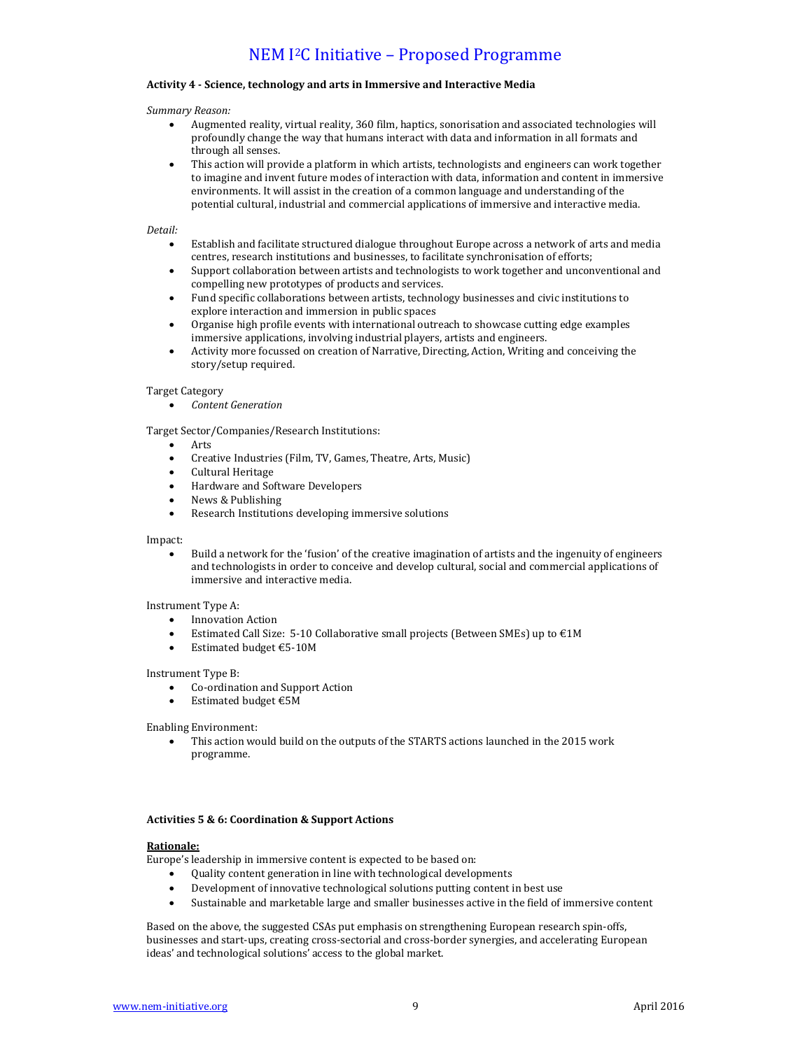#### Activity 4 - Science, technology and arts in Immersive and Interactive Media

#### *Summary Reason:*

- Augmented reality, virtual reality, 360 film, haptics, sonorisation and associated technologies will profoundly change the way that humans interact with data and information in all formats and through all senses.
- This action will provide a platform in which artists, technologists and engineers can work together to imagine and invent future modes of interaction with data, information and content in immersive environments. It will assist in the creation of a common language and understanding of the potential cultural, industrial and commercial applications of immersive and interactive media.

#### *Detail:*

- Establish and facilitate structured dialogue throughout Europe across a network of arts and media centres, research institutions and businesses, to facilitate synchronisation of efforts;
- Support collaboration between artists and technologists to work together and unconventional and compelling new prototypes of products and services.
- Fund specific collaborations between artists, technology businesses and civic institutions to explore interaction and immersion in public spaces
- Organise high profile events with international outreach to showcase cutting edge examples immersive applications, involving industrial players, artists and engineers.
- Activity more focussed on creation of Narrative, Directing, Action, Writing and conceiving the story/setup required.

#### **Target Category**

*Content Generation*

Target Sector/Companies/Research Institutions:

- Arts
- Creative Industries (Film, TV, Games, Theatre, Arts, Music)
- Cultural Heritage
- Hardware and Software Developers
- News & Publishing
- Research Institutions developing immersive solutions

#### Impact:

• Build a network for the 'fusion' of the creative imagination of artists and the ingenuity of engineers and technologists in order to conceive and develop cultural, social and commercial applications of immersive and interactive media.

#### Instrument Type A:

- Innovation Action
- Estimated Call Size:  $5-10$  Collaborative small projects (Between SMEs) up to  $\epsilon$ 1M
- $\bullet$  Estimated budget €5-10M

#### Instrument Type B:

- Co-ordination and Support Action
- Estimated budget  $€5M$

Enabling Environment:

This action would build on the outputs of the STARTS actions launched in the 2015 work programme. 

### **Activities 5 & 6: Coordination & Support Actions**

#### **Rationale:**

Europe's leadership in immersive content is expected to be based on:

- Quality content generation in line with technological developments
- Development of innovative technological solutions putting content in best use
- Sustainable and marketable large and smaller businesses active in the field of immersive content

Based on the above, the suggested CSAs put emphasis on strengthening European research spin-offs, businesses and start-ups, creating cross-sectorial and cross-border synergies, and accelerating European ideas' and technological solutions' access to the global market.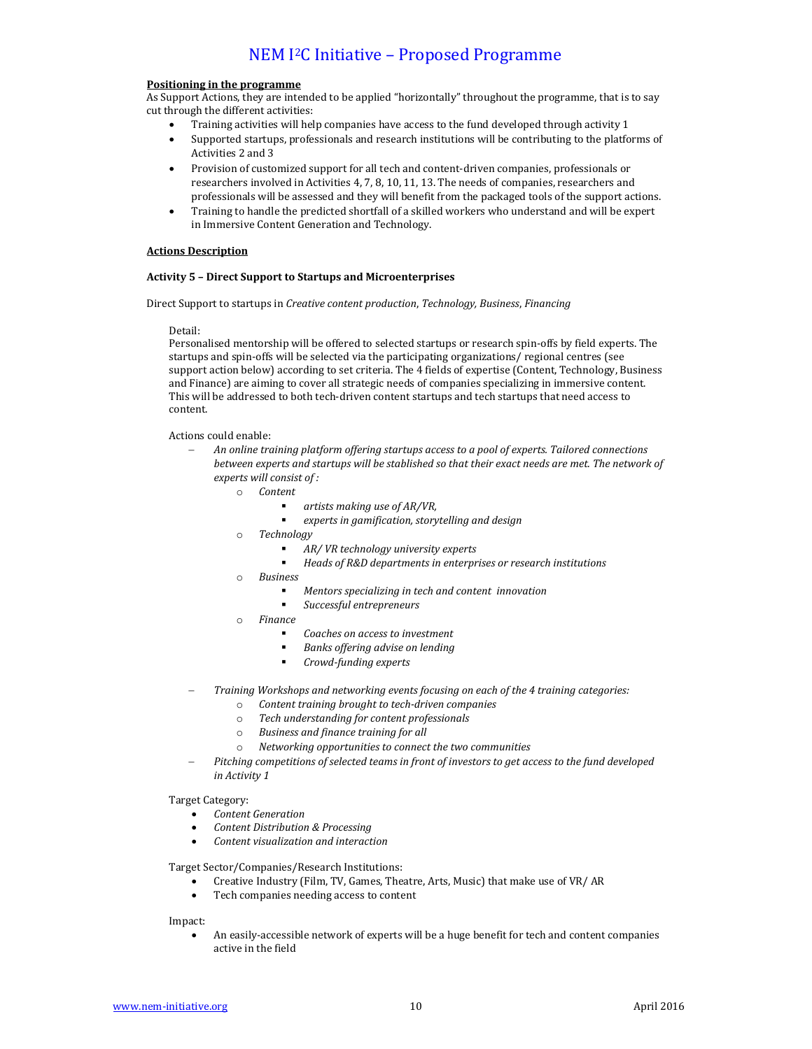#### **Positioning in the programme**

As Support Actions, they are intended to be applied "horizontally" throughout the programme, that is to say cut through the different activities:

- Training activities will help companies have access to the fund developed through activity 1
- Supported startups, professionals and research institutions will be contributing to the platforms of Activities 2 and 3
- Provision of customized support for all tech and content-driven companies, professionals or researchers involved in Activities 4, 7, 8, 10, 11, 13. The needs of companies, researchers and professionals will be assessed and they will benefit from the packaged tools of the support actions.
- Training to handle the predicted shortfall of a skilled workers who understand and will be expert in Immersive Content Generation and Technology.

#### **Actions Description**

### **Activity 5 – Direct Support to Startups and Microenterprises**

Direct Support to startups in *Creative content production*, *Technology, Business*, *Financing*

#### Detail:

Personalised mentorship will be offered to selected startups or research spin-offs by field experts. The startups and spin-offs will be selected via the participating organizations/ regional centres (see support action below) according to set criteria. The 4 fields of expertise (Content, Technology, Business and Finance) are aiming to cover all strategic needs of companies specializing in immersive content. This will be addressed to both tech-driven content startups and tech startups that need access to content.

Actions could enable:

- An online training platform offering startups access to a pool of experts. Tailored connections *between experts and startups will be stablished so that their exact needs are met. The network of* experts will consist of :
	- $\circ$  *Content* 
		- *artists making use of AR/VR,*
		- **EXECT:** experts in gamification, storytelling and design
	- o *Technology*
		- *AR/ VR technology university experts*
		- Heads of R&D departments in enterprises or research institutions
	- o *Business*
		- *Mentors specializing in tech and content innovation*
		- *Successful entrepreneurs*
	- o *Finance*
		- *Coaches on access to investment*
		- *Banks offering advise on lending*
		- *Crowd-funding experts*
- Training Workshops and networking events focusing on each of the 4 training categories:
	- o *Content training brought to tech-driven companies*
	- o *Tech understanding for content professionals*
	- o *Business and finance training for all*
	- o *Networking opportunities to connect the two communities*
	- Pitching competitions of selected teams in front of investors to get access to the fund developed *in Activity 1*

Target Category:

- *Content Generation*
- *Content Distribution & Processing*
- *Content visualization and interaction*

Target Sector/Companies/Research Institutions:

- Creative Industry (Film, TV, Games, Theatre, Arts, Music) that make use of VR/ AR
- Tech companies needing access to content

Impact:

An easily-accessible network of experts will be a huge benefit for tech and content companies active in the field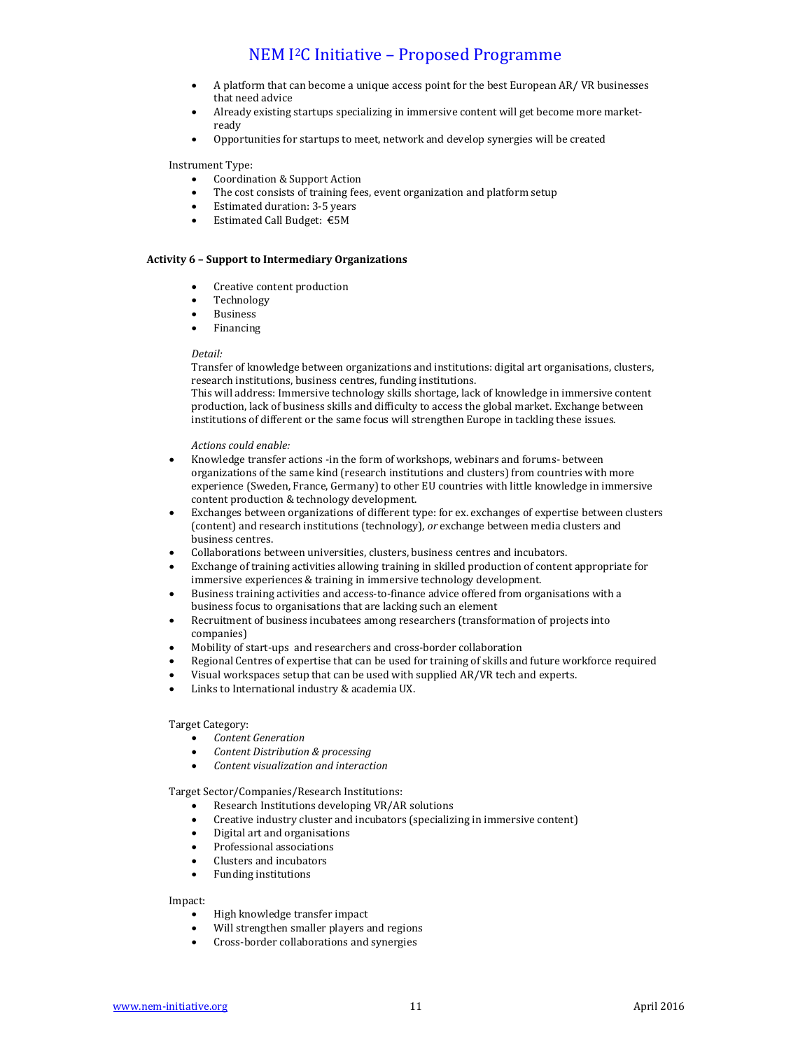- A platform that can become a unique access point for the best European AR/ VR businesses that need advice
- Already existing startups specializing in immersive content will get become more marketready
- Opportunities for startups to meet, network and develop synergies will be created

Instrument Type:

- Coordination & Support Action
- The cost consists of training fees, event organization and platform setup
- Estimated duration: 3-5 years
- Estimated Call Budget: €5M

### **Activity 6 – Support to Intermediary Organizations**

- Creative content production
- Technology
- Business
- Financing

#### *Detail:*

Transfer of knowledge between organizations and institutions: digital art organisations, clusters, research institutions, business centres, funding institutions.

This will address: Immersive technology skills shortage, lack of knowledge in immersive content production, lack of business skills and difficulty to access the global market. Exchange between institutions of different or the same focus will strengthen Europe in tackling these issues.

*Actions could enable:*

- Knowledge transfer actions -in the form of workshops, webinars and forums- between organizations of the same kind (research institutions and clusters) from countries with more experience (Sweden, France, Germany) to other EU countries with little knowledge in immersive content production & technology development.
- Exchanges between organizations of different type: for ex. exchanges of expertise between clusters (content) and research institutions (technology), *or* exchange between media clusters and business centres.
- Collaborations between universities, clusters, business centres and incubators.
- Exchange of training activities allowing training in skilled production of content appropriate for immersive experiences & training in immersive technology development.
- Business training activities and access-to-finance advice offered from organisations with a business focus to organisations that are lacking such an element
- Recruitment of business incubatees among researchers (transformation of projects into companies)
- Mobility of start-ups and researchers and cross-border collaboration
- Regional Centres of expertise that can be used for training of skills and future workforce required
- Visual workspaces setup that can be used with supplied AR/VR tech and experts.
- Links to International industry & academia UX.

#### Target Category:

- *Content Generation*
- *Content Distribution & processing*
- *Content visualization and interaction*

Target Sector/Companies/Research Institutions:

- Research Institutions developing VR/AR solutions
- Creative industry cluster and incubators (specializing in immersive content)
- Digital art and organisations
- Professional associations
- Clusters and incubators
- Funding institutions

Impact:

- High knowledge transfer impact
- Will strengthen smaller players and regions
- Cross-border collaborations and synergies